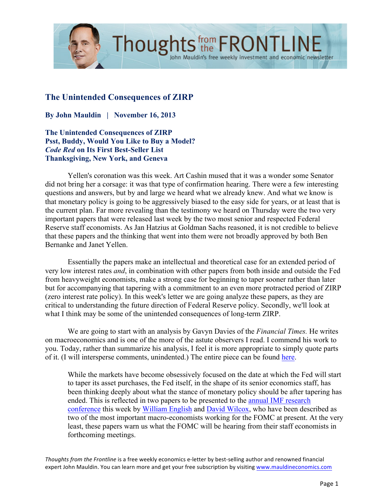

## **The Unintended Consequences of ZIRP**

**By John Mauldin | November 16, 2013**

**The Unintended Consequences of ZIRP Psst, Buddy, Would You Like to Buy a Model?** *Code Red* **on Its First Best-Seller List Thanksgiving, New York, and Geneva** 

Yellen's coronation was this week. Art Cashin mused that it was a wonder some Senator did not bring her a corsage: it was that type of confirmation hearing. There were a few interesting questions and answers, but by and large we heard what we already knew. And what we know is that monetary policy is going to be aggressively biased to the easy side for years, or at least that is the current plan. Far more revealing than the testimony we heard on Thursday were the two very important papers that were released last week by the two most senior and respected Federal Reserve staff economists. As Jan Hatzius at Goldman Sachs reasoned, it is not credible to believe that these papers and the thinking that went into them were not broadly approved by both Ben Bernanke and Janet Yellen.

John Mauldin's free weekly investment and economic newsletter

Essentially the papers make an intellectual and theoretical case for an extended period of very low interest rates *and*, in combination with other papers from both inside and outside the Fed from heavyweight economists, make a strong case for beginning to taper sooner rather than later but for accompanying that tapering with a commitment to an even more protracted period of ZIRP (zero interest rate policy). In this week's letter we are going analyze these papers, as they are critical to understanding the future direction of Federal Reserve policy. Secondly, we'll look at what I think may be some of the unintended consequences of long-term ZIRP.

We are going to start with an analysis by Gavyn Davies of the *Financial Times.* He writes on macroeconomics and is one of the more of the astute observers I read. I commend his work to you. Today, rather than summarize his analysis, I feel it is more appropriate to simply quote parts of it. (I will intersperse comments, unindented.) The entire piece can be found [here.](http://blogs.ft.com/gavyndavies/2013/11/07/what-fed-economists-are-telling-the-fomc/)

While the markets have become obsessively focused on the date at which the Fed will start to taper its asset purchases, the Fed itself, in the shape of its senior economics staff, has been thinking deeply about what the stance of monetary policy should be after tapering has ended. This is reflected in two papers to be presented to the [annual IMF research](http://www.imf.org/external/np/res/seminars/2013/arc/index.htm)  [conference](http://www.imf.org/external/np/res/seminars/2013/arc/index.htm) this week by [William English](http://www.imf.org/external/np/res/seminars/2013/arc/pdf/english.pdf) and [David Wilcox,](http://www.imf.org/external/np/res/seminars/2013/arc/pdf/wilcox.pdf) who have been described as two of the most important macro-economists working for the FOMC at present. At the very least, these papers warn us what the FOMC will be hearing from their staff economists in forthcoming meetings.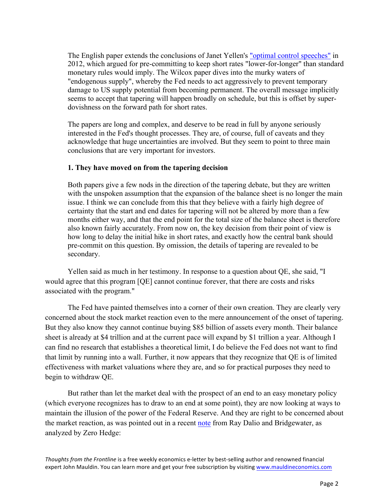The English paper extends the conclusions of Janet Yellen's ["optimal control speeches"](http://www.federalreserve.gov/newsevents/speech/yellen20120606a.htm) in 2012, which argued for pre-committing to keep short rates "lower-for-longer" than standard monetary rules would imply. The Wilcox paper dives into the murky waters of "endogenous supply", whereby the Fed needs to act aggressively to prevent temporary damage to US supply potential from becoming permanent. The overall message implicitly seems to accept that tapering will happen broadly on schedule, but this is offset by superdovishness on the forward path for short rates.

The papers are long and complex, and deserve to be read in full by anyone seriously interested in the Fed's thought processes. They are, of course, full of caveats and they acknowledge that huge uncertainties are involved. But they seem to point to three main conclusions that are very important for investors.

## **1. They have moved on from the tapering decision**

Both papers give a few nods in the direction of the tapering debate, but they are written with the unspoken assumption that the expansion of the balance sheet is no longer the main issue. I think we can conclude from this that they believe with a fairly high degree of certainty that the start and end dates for tapering will not be altered by more than a few months either way, and that the end point for the total size of the balance sheet is therefore also known fairly accurately. From now on, the key decision from their point of view is how long to delay the initial hike in short rates, and exactly how the central bank should pre-commit on this question. By omission, the details of tapering are revealed to be secondary.

Yellen said as much in her testimony. In response to a question about QE, she said, "I would agree that this program [QE] cannot continue forever, that there are costs and risks associated with the program."

The Fed have painted themselves into a corner of their own creation. They are clearly very concerned about the stock market reaction even to the mere announcement of the onset of tapering. But they also know they cannot continue buying \$85 billion of assets every month. Their balance sheet is already at \$4 trillion and at the current pace will expand by \$1 trillion a year. Although I can find no research that establishes a theoretical limit, I do believe the Fed does not want to find that limit by running into a wall. Further, it now appears that they recognize that QE is of limited effectiveness with market valuations where they are, and so for practical purposes they need to begin to withdraw QE.

But rather than let the market deal with the prospect of an end to an easy monetary policy (which everyone recognizes has to draw to an end at some point), they are now looking at ways to maintain the illusion of the power of the Federal Reserve. And they are right to be concerned about the market reaction, as was pointed out in a recent [note](http://beforeitsnews.com/financial-markets/2013/11/ray-dalios-bridgewater-on-the-feds-dilemma-were-worried-that-theres-no-gas-left-in-the-qe-tank-2631758.html) from Ray Dalio and Bridgewater, as analyzed by Zero Hedge: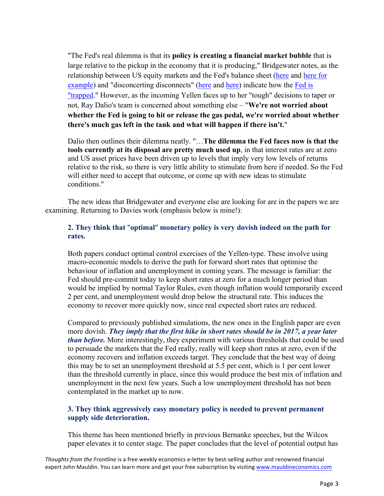"The Fed's real dilemma is that its **policy is creating a financial market bubble** that is large relative to the pickup in the economy that it is producing," Bridgewater notes, as the relationship between US equity markets and the Fed's balance sheet [\(here](http://www.zerohedge.com/news/2013-04-22/only-chart-required-price-us-stocks) and [here for](http://www.zerohedge.com/news/2013-10-17/what-feds-updated-year-end-sp500-price-target)  [example\)](http://www.zerohedge.com/news/2013-10-17/what-feds-updated-year-end-sp500-price-target) and "disconcerting disconnects" [\(here](http://www.zerohedge.com/news/2013-10-30/citi-warns-disconcerting-disconnects-us-markets) and [here\)](http://www.zerohedge.com/news/2013-10-10/biggest-banking-disconnect-lehman-hits-new-record) indicate how the Fed is ["trapped.](http://www.zerohedge.com/news/2013-11-07/ubs-warns-fed-trapped)" However, as the incoming Yellen faces up to her "tough" decisions to taper or not, Ray Dalio's team is concerned about something else – "**We're not worried about whether the Fed is going to hit or release the gas pedal, we're worried about whether there's much gas left in the tank and what will happen if there isn't.**"

Dalio then outlines their dilemma neatly. "…**The dilemma the Fed faces now is that the tools currently at its disposal are pretty much used up**, in that interest rates are at zero and US asset prices have been driven up to levels that imply very low levels of returns relative to the risk, so there is very little ability to stimulate from here if needed. So the Fed will either need to accept that outcome, or come up with new ideas to stimulate conditions."

The new ideas that Bridgewater and everyone else are looking for are in the papers we are examining. Returning to Davies work (emphasis below is mine!):

## **2. They think that** "**optimal**" **monetary policy is very dovish indeed on the path for rates.**

Both papers conduct optimal control exercises of the Yellen-type. These involve using macro-economic models to derive the path for forward short rates that optimise the behaviour of inflation and unemployment in coming years. The message is familiar: the Fed should pre-commit today to keep short rates at zero for a much longer period than would be implied by normal Taylor Rules, even though inflation would temporarily exceed 2 per cent, and unemployment would drop below the structural rate. This induces the economy to recover more quickly now, since real expected short rates are reduced.

Compared to previously published simulations, the new ones in the English paper are even more dovish. *They imply that the first hike in short rates should be in 2017, a year later than before.* More interestingly, they experiment with various thresholds that could be used to persuade the markets that the Fed really, really will keep short rates at zero, even if the economy recovers and inflation exceeds target. They conclude that the best way of doing this may be to set an unemployment threshold at 5.5 per cent, which is 1 per cent lower than the threshold currently in place, since this would produce the best mix of inflation and unemployment in the next few years. Such a low unemployment threshold has not been contemplated in the market up to now.

## **3. They think aggressively easy monetary policy is needed to prevent permanent supply side deterioration.**

This theme has been mentioned briefly in previous Bernanke speeches, but the Wilcox paper elevates it to center stage. The paper concludes that the level of potential output has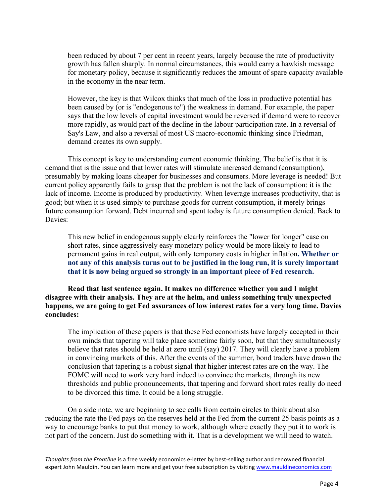been reduced by about 7 per cent in recent years, largely because the rate of productivity growth has fallen sharply. In normal circumstances, this would carry a hawkish message for monetary policy, because it significantly reduces the amount of spare capacity available in the economy in the near term.

However, the key is that Wilcox thinks that much of the loss in productive potential has been caused by (or is "endogenous to") the weakness in demand. For example, the paper says that the low levels of capital investment would be reversed if demand were to recover more rapidly, as would part of the decline in the labour participation rate. In a reversal of Say's Law, and also a reversal of most US macro-economic thinking since Friedman, demand creates its own supply.

This concept is key to understanding current economic thinking. The belief is that it is demand that is the issue and that lower rates will stimulate increased demand (consumption), presumably by making loans cheaper for businesses and consumers. More leverage is needed! But current policy apparently fails to grasp that the problem is not the lack of consumption: it is the lack of income. Income is produced by productivity. When leverage increases productivity, that is good; but when it is used simply to purchase goods for current consumption, it merely brings future consumption forward. Debt incurred and spent today is future consumption denied. Back to Davies:

This new belief in endogenous supply clearly reinforces the "lower for longer" case on short rates, since aggressively easy monetary policy would be more likely to lead to permanent gains in real output, with only temporary costs in higher inflation**. Whether or not any of this analysis turns out to be justified in the long run, it is surely important that it is now being argued so strongly in an important piece of Fed research.**

**Read that last sentence again. It makes no difference whether you and I might disagree with their analysis. They are at the helm, and unless something truly unexpected happens, we are going to get Fed assurances of low interest rates for a very long time. Davies concludes:**

The implication of these papers is that these Fed economists have largely accepted in their own minds that tapering will take place sometime fairly soon, but that they simultaneously believe that rates should be held at zero until (say) 2017. They will clearly have a problem in convincing markets of this. After the events of the summer, bond traders have drawn the conclusion that tapering is a robust signal that higher interest rates are on the way. The FOMC will need to work very hard indeed to convince the markets, through its new thresholds and public pronouncements, that tapering and forward short rates really do need to be divorced this time. It could be a long struggle.

On a side note, we are beginning to see calls from certain circles to think about also reducing the rate the Fed pays on the reserves held at the Fed from the current 25 basis points as a way to encourage banks to put that money to work, although where exactly they put it to work is not part of the concern. Just do something with it. That is a development we will need to watch.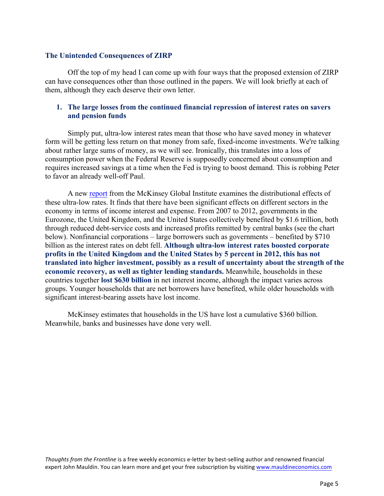#### **The Unintended Consequences of ZIRP**

Off the top of my head I can come up with four ways that the proposed extension of ZIRP can have consequences other than those outlined in the papers. We will look briefly at each of them, although they each deserve their own letter.

## **1. The large losses from the continued financial repression of interest rates on savers and pension funds**

Simply put, ultra-low interest rates mean that those who have saved money in whatever form will be getting less return on that money from safe, fixed-income investments. We're talking about rather large sums of money, as we will see. Ironically, this translates into a loss of consumption power when the Federal Reserve is supposedly concerned about consumption and requires increased savings at a time when the Fed is trying to boost demand. This is robbing Peter to favor an already well-off Paul.

A new [report](http://www.mckinsey.com/insights/economic_studies/qe_and_ultra_low_interest_rates_distributional_effects_and_risks) from the McKinsey Global Institute examines the distributional effects of these ultra-low rates. It finds that there have been significant effects on different sectors in the economy in terms of income interest and expense. From 2007 to 2012, governments in the Eurozone, the United Kingdom, and the United States collectively benefited by \$1.6 trillion, both through reduced debt-service costs and increased profits remitted by central banks (see the chart below). Nonfinancial corporations – large borrowers such as governments – benefited by \$710 billion as the interest rates on debt fell. **Although ultra-low interest rates boosted corporate profits in the United Kingdom and the United States by 5 percent in 2012, this has not translated into higher investment, possibly as a result of uncertainty about the strength of the economic recovery, as well as tighter lending standards.** Meanwhile, households in these countries together **lost \$630 billion** in net interest income, although the impact varies across groups. Younger households that are net borrowers have benefited, while older households with significant interest-bearing assets have lost income.

McKinsey estimates that households in the US have lost a cumulative \$360 billion. Meanwhile, banks and businesses have done very well.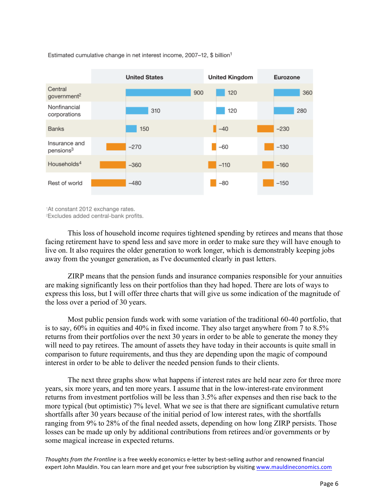

Estimated cumulative change in net interest income, 2007-12, \$ billion<sup>1</sup>

1At constant 2012 exchange rates.

<sup>2</sup>Excludes added central-bank profits.

This loss of household income requires tightened spending by retirees and means that those facing retirement have to spend less and save more in order to make sure they will have enough to live on. It also requires the older generation to work longer, which is demonstrably keeping jobs away from the younger generation, as I've documented clearly in past letters.

ZIRP means that the pension funds and insurance companies responsible for your annuities are making significantly less on their portfolios than they had hoped. There are lots of ways to express this loss, but I will offer three charts that will give us some indication of the magnitude of the loss over a period of 30 years.

Most public pension funds work with some variation of the traditional 60-40 portfolio, that is to say, 60% in equities and 40% in fixed income. They also target anywhere from 7 to 8.5% returns from their portfolios over the next 30 years in order to be able to generate the money they will need to pay retirees. The amount of assets they have today in their accounts is quite small in comparison to future requirements, and thus they are depending upon the magic of compound interest in order to be able to deliver the needed pension funds to their clients.

The next three graphs show what happens if interest rates are held near zero for three more years, six more years, and ten more years. I assume that in the low-interest-rate environment returns from investment portfolios will be less than 3.5% after expenses and then rise back to the more typical (but optimistic) 7% level. What we see is that there are significant cumulative return shortfalls after 30 years because of the initial period of low interest rates, with the shortfalls ranging from 9% to 28% of the final needed assets, depending on how long ZIRP persists. Those losses can be made up only by additional contributions from retirees and/or governments or by some magical increase in expected returns.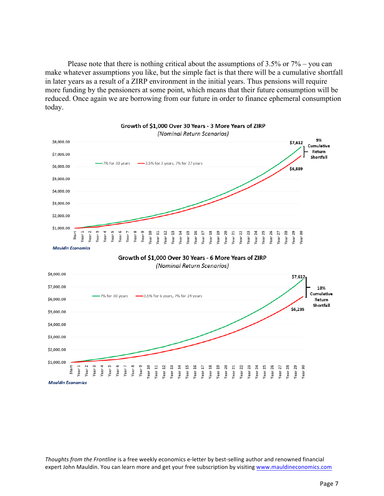Please note that there is nothing critical about the assumptions of 3.5% or 7% – you can make whatever assumptions you like, but the simple fact is that there will be a cumulative shortfall in later years as a result of a ZIRP environment in the initial years. Thus pensions will require more funding by the pensioners at some point, which means that their future consumption will be reduced. Once again we are borrowing from our future in order to finance ephemeral consumption today.

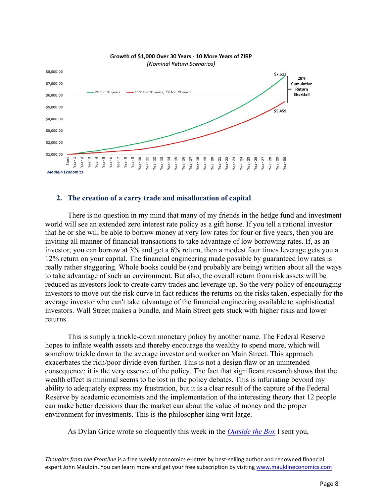

# Growth of \$1,000 Over 30 Years - 10 More Years of ZIRP

#### **2. The creation of a carry trade and misallocation of capital**

There is no question in my mind that many of my friends in the hedge fund and investment world will see an extended zero interest rate policy as a gift horse. If you tell a rational investor that he or she will be able to borrow money at very low rates for four or five years, then you are inviting all manner of financial transactions to take advantage of low borrowing rates. If, as an investor, you can borrow at 3% and get a 6% return, then a modest four times leverage gets you a 12% return on your capital. The financial engineering made possible by guaranteed low rates is really rather staggering. Whole books could be (and probably are being) written about all the ways to take advantage of such an environment. But also, the overall return from risk assets will be reduced as investors look to create carry trades and leverage up. So the very policy of encouraging investors to move out the risk curve in fact reduces the returns on the risks taken, especially for the average investor who can't take advantage of the financial engineering available to sophisticated investors. Wall Street makes a bundle, and Main Street gets stuck with higher risks and lower returns.

This is simply a trickle-down monetary policy by another name. The Federal Reserve hopes to inflate wealth assets and thereby encourage the wealthy to spend more, which will somehow trickle down to the average investor and worker on Main Street. This approach exacerbates the rich/poor divide even further. This is not a design flaw or an unintended consequence; it is the very essence of the policy. The fact that significant research shows that the wealth effect is minimal seems to be lost in the policy debates. This is infuriating beyond my ability to adequately express my frustration, but it is a clear result of the capture of the Federal Reserve by academic economists and the implementation of the interesting theory that 12 people can make better decisions than the market can about the value of money and the proper environment for investments. This is the philosopher king writ large.

As Dylan Grice wrote so eloquently this week in the *[Outside the Box](http://www.mauldineconomics.com/outsidethebox/the-language-of-inflation)* I sent you,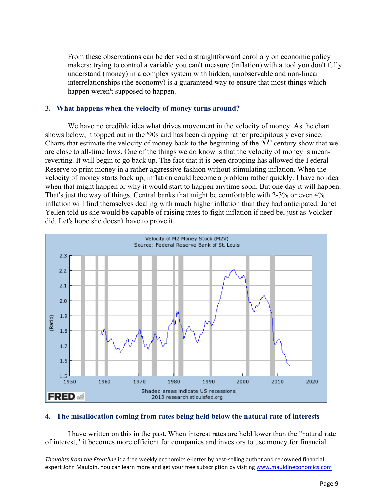From these observations can be derived a straightforward corollary on economic policy makers: trying to control a variable you can't measure (inflation) with a tool you don't fully understand (money) in a complex system with hidden, unobservable and non-linear interrelationships (the economy) is a guaranteed way to ensure that most things which happen weren't supposed to happen.

#### **3. What happens when the velocity of money turns around?**

We have no credible idea what drives movement in the velocity of money. As the chart shows below, it topped out in the '90s and has been dropping rather precipitously ever since. Charts that estimate the velocity of money back to the beginning of the  $20<sup>th</sup>$  century show that we are close to all-time lows. One of the things we do know is that the velocity of money is meanreverting. It will begin to go back up. The fact that it is been dropping has allowed the Federal Reserve to print money in a rather aggressive fashion without stimulating inflation. When the velocity of money starts back up, inflation could become a problem rather quickly. I have no idea when that might happen or why it would start to happen anytime soon. But one day it will happen. That's just the way of things. Central banks that might be comfortable with 2-3% or even 4% inflation will find themselves dealing with much higher inflation than they had anticipated. Janet Yellen told us she would be capable of raising rates to fight inflation if need be, just as Volcker did. Let's hope she doesn't have to prove it.



#### **4. The misallocation coming from rates being held below the natural rate of interests**

I have written on this in the past. When interest rates are held lower than the "natural rate of interest," it becomes more efficient for companies and investors to use money for financial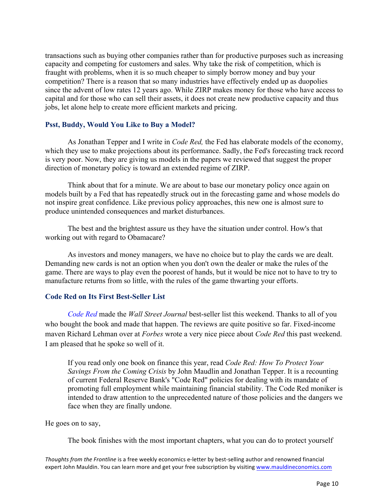transactions such as buying other companies rather than for productive purposes such as increasing capacity and competing for customers and sales. Why take the risk of competition, which is fraught with problems, when it is so much cheaper to simply borrow money and buy your competition? There is a reason that so many industries have effectively ended up as duopolies since the advent of low rates 12 years ago. While ZIRP makes money for those who have access to capital and for those who can sell their assets, it does not create new productive capacity and thus jobs, let alone help to create more efficient markets and pricing.

#### **Psst, Buddy, Would You Like to Buy a Model?**

As Jonathan Tepper and I write in *Code Red,* the Fed has elaborate models of the economy, which they use to make projections about its performance. Sadly, the Fed's forecasting track record is very poor. Now, they are giving us models in the papers we reviewed that suggest the proper direction of monetary policy is toward an extended regime of ZIRP.

Think about that for a minute. We are about to base our monetary policy once again on models built by a Fed that has repeatedly struck out in the forecasting game and whose models do not inspire great confidence. Like previous policy approaches, this new one is almost sure to produce unintended consequences and market disturbances.

The best and the brightest assure us they have the situation under control. How's that working out with regard to Obamacare?

As investors and money managers, we have no choice but to play the cards we are dealt. Demanding new cards is not an option when you don't own the dealer or make the rules of the game. There are ways to play even the poorest of hands, but it would be nice not to have to try to manufacture returns from so little, with the rules of the game thwarting your efforts.

## **Code Red on Its First Best-Seller List**

*[Code](http://www.mauldineconomics.com/go/vu22m-2/MEC) Red* made the *Wall Street Journal* best-seller list this weekend. Thanks to all of you who bought the book and made that happen. The reviews are quite positive so far. Fixed-income maven Richard Lehman over at *Forbes* wrote a very nice piece about *Code Red* this past weekend. I am pleased that he spoke so well of it.

If you read only one book on finance this year, read *Code Red: How To Protect Your Savings From the Coming Crisis* by John Maudlin and Jonathan Tepper. It is a recounting of current Federal Reserve Bank's "Code Red" policies for dealing with its mandate of promoting full employment while maintaining financial stability. The Code Red moniker is intended to draw attention to the unprecedented nature of those policies and the dangers we face when they are finally undone.

He goes on to say,

The book finishes with the most important chapters, what you can do to protect yourself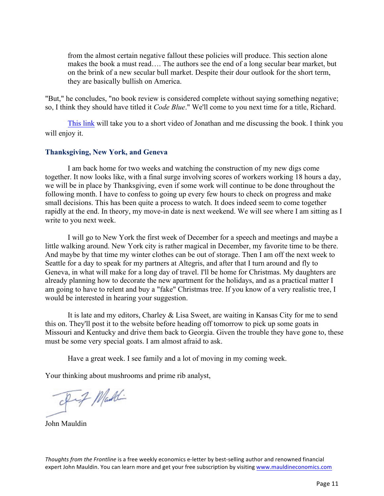from the almost certain negative fallout these policies will produce. This section alone makes the book a must read…. The authors see the end of a long secular bear market, but on the brink of a new secular bull market. Despite their dour outlook for the short term, they are basically bullish on America.

"But," he concludes, "no book review is considered complete without saying something negative; so, I think they should have titled it *Code Blue*." We'll come to you next time for a title, Richard.

[This link](http://www.mauldineconomics.com/go/vugur-2/OTB) will take you to a short video of Jonathan and me discussing the book. I think you will enjoy it.

#### **Thanksgiving, New York, and Geneva**

I am back home for two weeks and watching the construction of my new digs come together. It now looks like, with a final surge involving scores of workers working 18 hours a day, we will be in place by Thanksgiving, even if some work will continue to be done throughout the following month. I have to confess to going up every few hours to check on progress and make small decisions. This has been quite a process to watch. It does indeed seem to come together rapidly at the end. In theory, my move-in date is next weekend. We will see where I am sitting as I write to you next week.

I will go to New York the first week of December for a speech and meetings and maybe a little walking around. New York city is rather magical in December, my favorite time to be there. And maybe by that time my winter clothes can be out of storage. Then I am off the next week to Seattle for a day to speak for my partners at Altegris, and after that I turn around and fly to Geneva, in what will make for a long day of travel. I'll be home for Christmas. My daughters are already planning how to decorate the new apartment for the holidays, and as a practical matter I am going to have to relent and buy a "fake" Christmas tree. If you know of a very realistic tree, I would be interested in hearing your suggestion.

It is late and my editors, Charley & Lisa Sweet, are waiting in Kansas City for me to send this on. They'll post it to the website before heading off tomorrow to pick up some goats in Missouri and Kentucky and drive them back to Georgia. Given the trouble they have gone to, these must be some very special goats. I am almost afraid to ask.

Have a great week. I see family and a lot of moving in my coming week.

Your thinking about mushrooms and prime rib analyst,

Fif Maddi

John Mauldin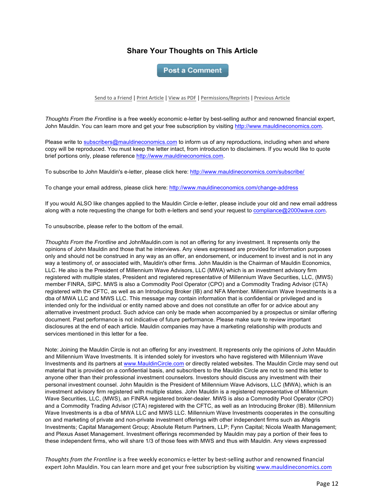## **Share Your Thoughts on This Article**

**Post a Comment** 

Send to a Friend | Print Article | View as PDF | Permissions/Reprints | Previous Article

*Thoughts From the Frontline* is a free weekly economic e-letter by best-selling author and renowned financial expert, John Mauldin. You can learn more and get your free subscription by visiting http://www.mauldineconomics.com.

Please write to subscribers@mauldineconomics.com to inform us of any reproductions, including when and where copy will be reproduced. You must keep the letter intact, from introduction to disclaimers. If you would like to quote brief portions only, please reference http://www.mauldineconomics.com.

To subscribe to John Mauldin's e-letter, please click here: http://www.mauldineconomics.com/subscribe/

To change your email address, please click here: http://www.mauldineconomics.com/change-address

If you would ALSO like changes applied to the Mauldin Circle e-letter, please include your old and new email address along with a note requesting the change for both e-letters and send your request to compliance@2000wave.com.

To unsubscribe, please refer to the bottom of the email.

*Thoughts From the Frontline* and JohnMauldin.com is not an offering for any investment. It represents only the opinions of John Mauldin and those that he interviews. Any views expressed are provided for information purposes only and should not be construed in any way as an offer, an endorsement, or inducement to invest and is not in any way a testimony of, or associated with, Mauldin's other firms. John Mauldin is the Chairman of Mauldin Economics, LLC. He also is the President of Millennium Wave Advisors, LLC (MWA) which is an investment advisory firm registered with multiple states, President and registered representative of Millennium Wave Securities, LLC, (MWS) member FINRA, SIPC. MWS is also a Commodity Pool Operator (CPO) and a Commodity Trading Advisor (CTA) registered with the CFTC, as well as an Introducing Broker (IB) and NFA Member. Millennium Wave Investments is a dba of MWA LLC and MWS LLC. This message may contain information that is confidential or privileged and is intended only for the individual or entity named above and does not constitute an offer for or advice about any alternative investment product. Such advice can only be made when accompanied by a prospectus or similar offering document. Past performance is not indicative of future performance. Please make sure to review important disclosures at the end of each article. Mauldin companies may have a marketing relationship with products and services mentioned in this letter for a fee.

Note: Joining the Mauldin Circle is not an offering for any investment. It represents only the opinions of John Mauldin and Millennium Wave Investments. It is intended solely for investors who have registered with Millennium Wave Investments and its partners at www.MauldinCircle.com or directly related websites. The Mauldin Circle may send out material that is provided on a confidential basis, and subscribers to the Mauldin Circle are not to send this letter to anyone other than their professional investment counselors. Investors should discuss any investment with their personal investment counsel. John Mauldin is the President of Millennium Wave Advisors, LLC (MWA), which is an investment advisory firm registered with multiple states. John Mauldin is a registered representative of Millennium Wave Securities, LLC, (MWS), an FINRA registered broker-dealer. MWS is also a Commodity Pool Operator (CPO) and a Commodity Trading Advisor (CTA) registered with the CFTC, as well as an Introducing Broker (IB). Millennium Wave Investments is a dba of MWA LLC and MWS LLC. Millennium Wave Investments cooperates in the consulting on and marketing of private and non-private investment offerings with other independent firms such as Altegris Investments; Capital Management Group; Absolute Return Partners, LLP; Fynn Capital; Nicola Wealth Management; and Plexus Asset Management. Investment offerings recommended by Mauldin may pay a portion of their fees to these independent firms, who will share 1/3 of those fees with MWS and thus with Mauldin. Any views expressed